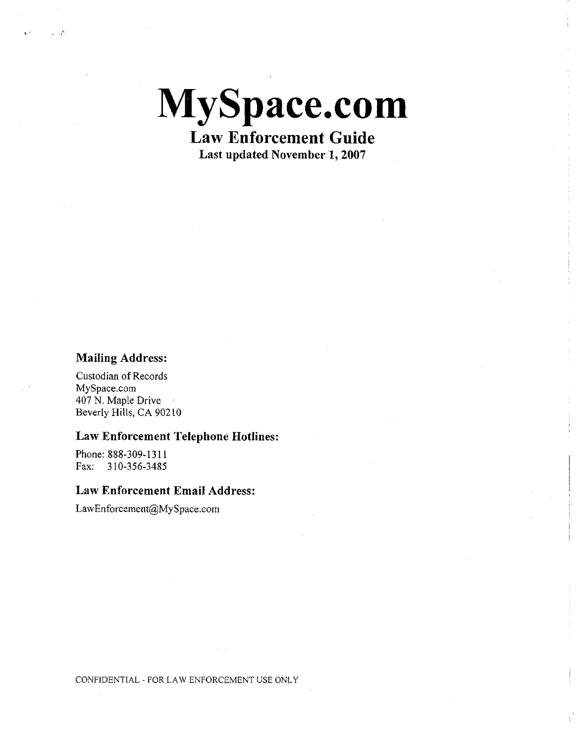**MySpace.com Law Enforcement Guide** 

**Last updated November 1, 2007** 

## **Mailing Address:**

Custodian of Records MySpace.com 407 N. Maple Drive Beverly Hills, CA 90210

## **Law Enforcement Telephone Hotlines:**

Phone: 888-309-1311 Fax: 310-356-3485

## **Law Enforcement Email Address:**

[LawEnforcement@MySpace.com](mailto:LawEnforcement@MySpace.com)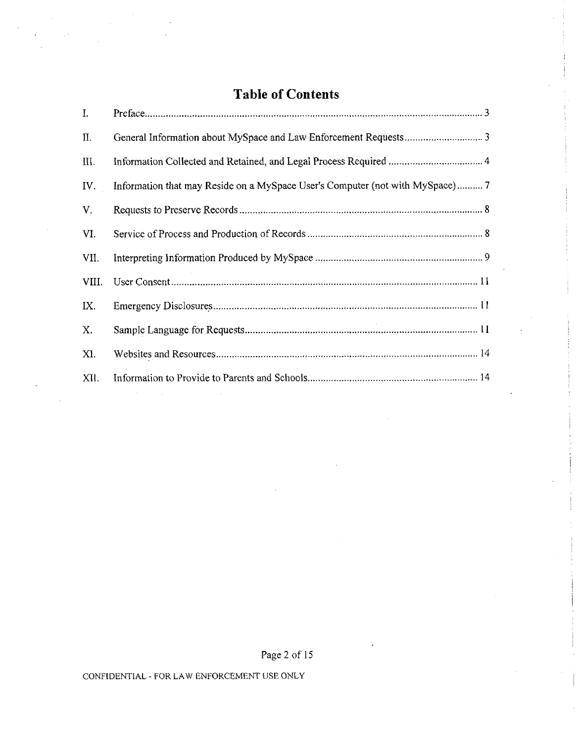# **Table of Contents**

| I.          |                                                                               |
|-------------|-------------------------------------------------------------------------------|
| II.         |                                                                               |
| Ш.          |                                                                               |
| IV.         | Information that may Reside on a MySpace User's Computer (not with MySpace) 7 |
| $V_{\perp}$ |                                                                               |
| VI.         |                                                                               |
| VII.        |                                                                               |
| VIII.       |                                                                               |
| IX.         |                                                                               |
| X.          |                                                                               |
| XI.         |                                                                               |
| XII.        |                                                                               |

Page 2 of 15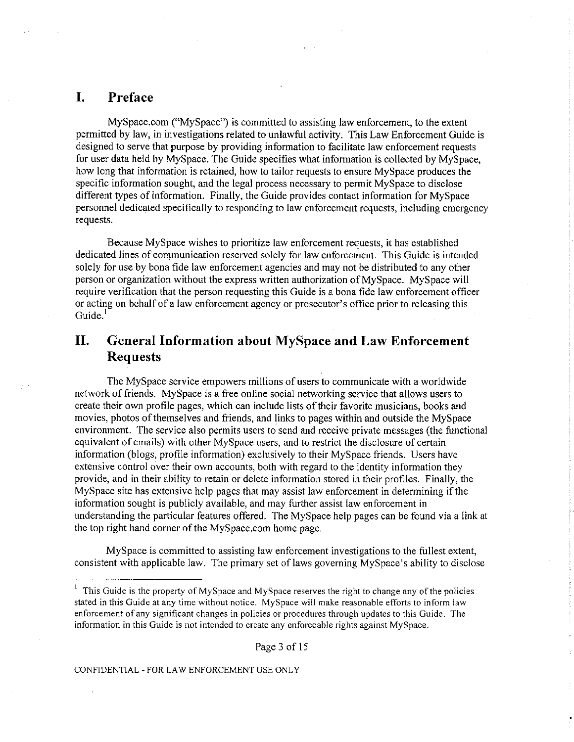## <span id="page-2-0"></span>**I. Preface**

MySpace.com ("MySpace") is committed to assisting law enforcement, to the extent permitted by law, in investigations related to unlawful activity. This Law Enforcement Guide is designed to serve that purpose by providing information to facilitate law enforcement requests for user data held by MySpace. The Guide specifies what information is collected by MySpace, how long that information is retained, how to tailor requests to ensure MySpace produces the specific information sought, and the legal process necessary to permit MySpace to disclose different types of information. Finally, the Guide provides contact information for MySpace personnel dedicated specifically to responding to law enforcement requests, including emergency requests.

Because MySpace wishes to prioritize law enforcement requests, it has established dedicated lines of communication reserved solely for law enforcement. This Guide is intended solely for use by bona fide law enforcement agencies and may not be distributed to any other person or organization without the express written authorization of MySpace. MySpace will require verification that the person requesting this Guide is a bona fide law enforcement officer or acting on behalf of a law enforcement agency or prosecutor's office prior to releasing this  $Guide.<sup>1</sup>$ 

## <span id="page-2-1"></span>**II. General Information about MySpace and Law Enforcement Requests**

The MySpace service empowers millions of users to communicate with a worldwide network of friends. MySpace is a free online social networking service that allows users to create their own profile pages, which can include lists of their favorite musicians, books and movies, photos of themselves and friends, and links to pages within and outside the MySpace environment. The service also permits users to send and receive private messages (the functional equivalent of emails) with other MySpace users, and to restrict the disclosure of certain information (blogs, profile information) exclusively to their MySpace friends. Users have extensive control over their own accounts, both with regard to the identity information they provide, and in their ability to retain or delete information stored in their profiles. Finally, the MySpace site has extensive help pages that may assist law enforcement in determining if the information sought is publicly available, and may further assist law enforcement in understanding the particular features offered. The MySpace help pages can be found via a link at the top right hand corner of the MySpace.com home page.

MySpace is committed to assisting law enforcement investigations to the fullest extent, consistent with applicable law. The primary set of laws governing MySpace's ability to disclose

Page 3 of 15

<sup>1</sup> This Guide is the property of MySpace and MySpace reserves the right to change any of the policies stated in this Guide at any time without notice. MySpace will make reasonable efforts to inform law enforcement of any significant changes in policies or procedures through updates to this Guide. The information in this Guide is not intended to create any enforceable rights against MySpace.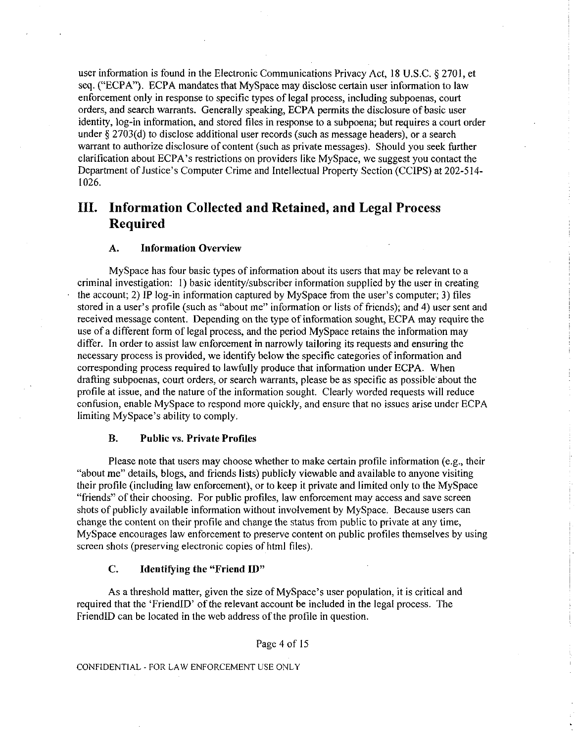user information is found in the Electronic Communications Privacy Act, 18 U.S.C. § 2701, et seq. ("ECPA"). ECPA mandates that MySpace may disclose certain user information to law enforcement only in response to specific types of legal process, including subpoenas, court orders, and search warrants. Generally speaking, ECPA permits the disclosure of basic user identity, log-in information, and stored files in response to a subpoena; but requires a court order under § 2703(d) to disclose additional user records (such as message headers), or a search warrant to authorize disclosure of content (such as private messages). Should you seek further clarification about ECPA's restrictions on providers like MySpace, we suggest you contact the Department of Justice's Computer Crime and Intellectual Property Section (CCIPS) at 202-514- 1026.

## <span id="page-3-0"></span>**III. Information Collected and Retained, and Legal Process Required**

### **A. Information Overview**

MySpace has four basic types of information about its users that may be relevant to a criminal investigation: 1) basic identity/subscriber information supplied by the user in creating the account; 2) IP log-in information captured by MySpace from the user's computer; 3) files stored in a user's profile (such as "about me" information or lists of friends); and 4) user sent and received message content. Depending on the type of information sought, ECPA may require the use of a different form of legal process, and the period MySpace retains the information may differ. In order to assist law enforcement in narrowly tailoring its requests and ensuring the necessary process is provided, we identify below the specific categories of information and corresponding process required to lawfully produce that information under ECPA. When drafting subpoenas, court orders, or search warrants, please be as specific as possible about the profile at issue, and the nature of the information sought. Clearly worded requests will reduce confusion, enable MySpace to respond more quickly, and ensure that no issues arise under ECPA limiting MySpace's ability to comply.

#### **B. Public vs. Private Profiles**

Please note that users may choose whether to make certain profile information (e.g., their "about me" details, blogs, and friends lists) publicly viewable and available to anyone visiting their profile (including law enforcement), or to keep it private and limited only to the MySpace "friends" of their choosing. For public profiles, law enforcement may access and save screen shots of publicly available information without involvement by MySpace. Because users can change the content on their profile and change the status from public to private at any time, MySpace encourages law enforcement to preserve content on public profiles themselves by using screen shots (preserving electronic copies of html files).

#### C. **Identifying the "Friend ID"**

As a threshold matter, given the size of MySpace's user population, it is critical and required that the 'FriendID' of the relevant account be included in the legal process. The FriendID can be located in the web address of the profile in question.

Page 4 of 15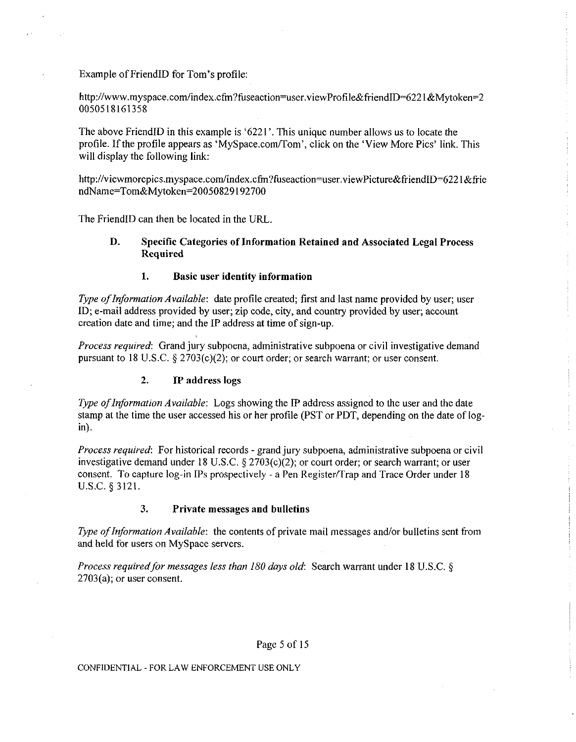Example of FriendID for Tom's profile:

http://www.myspace.com/index.cfm?fuseaction=user.viewProfile&friendID=6221&Mytoken=2 0050518161358

The above FriendID in this example is '6221'. This unique number allows us to locate the profile. If the profile appears as 'MySpace.com/Tom', click on the 'View More Pics' link. This will display the following link:

http://viewmorepics.myspace.com/index.cfm?fuseaction=user.viewPicture&friendID=6221&frie ndName=Tom&Mytoken=2005 0829192700

The FriendID can then be located in the URL.

## **D. Specific Categories of Information Retained and Associated Legal Process Required**

## **1. Basic user identity information**

*Type of Information Available:* date profile created; first and last name provided by user; user ID; e-mail address provided by user; zip code, city, and country provided by user; account creation date and time; and the IP address at time of sign-up.

*Process required*: Grand jury subpoena, administrative subpoena or civil investigative demand pursuant to 18 U.S.C. § 2703(c)(2); or court order; or search warrant; or user consent.

## **2. IP address logs**

*Type of Information Available*: Logs showing the IP address assigned to the user and the date stamp at the time the user accessed his or her profile (PST or PDT, depending on the date of login).

*Process required*: For historical records - grand jury subpoena, administrative subpoena or civil investigative demand under 18 U.S.C. § 2703(c)(2); or court order; or search warrant; or user consent. To capture log-in IPs prospectively - a Pen Register/Trap and Trace Order under 18 U.S.C. § 3121.

## **3. Private messages and bulletins**

*Type of Information Available:* the contents of private mail messages and/or bulletins sent from and held for users on MySpace servers.

*Process required for messages less than 180 days old:* Search warrant under 18 U.S.C. § 2703(a); or user consent.

## Page 5 of 15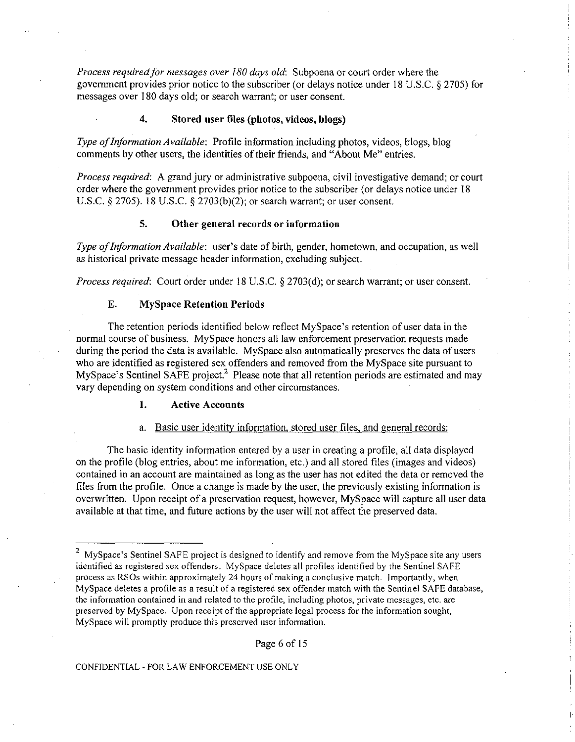*Process required for messages over 180 days old*: Subpoena or court order where the government provides prior notice to the subscriber (or delays notice under 18 U.S.C. § 2705) for messages over 180 days old; or search warrant; or user consent.

## **4. Stored user files (photos, videos, blogs)**

*Type of Information Available:* Profile information including photos, videos, blogs, blog comments by other users, the identities of their friends, and "About Me" entries.

*Process required:* A grand jury or administrative subpoena, civil investigative demand; or court order where the government provides prior notice to the subscriber (or delays notice under 18 U.S.C. § 2705). 18 U.S.C. § 2703(b)(2); or search warrant; or user consent.

## **5. Other general records or information**

*Type of Information Available:* user's date of birth, gender, hometown, and occupation, as well as historical private message header information, excluding subject.

*Process required*: Court order under 18 U.S.C. § 2703(d); or search warrant; or user consent.

## **E. MySpace Retention Periods**

The retention periods identified below reflect MySpace's retention of user data in the normal course of business. MySpace honors all law enforcement preservation requests made during the period the data is available. MySpace also automatically preserves the data of users who are identified as registered sex offenders and removed from the MySpace site pursuant to MySpace's Sentinel SAFE project.<sup>2</sup> Please note that all retention periods are estimated and may vary depending on system conditions and other circumstances.

## **1. Active Accounts**

### a. Basic user identity information, stored user files, and general records:

The basic identity information entered by a user in creating a profile, all data displayed on the profile (blog entries, about me information, etc.) and all stored files (images and videos) contained in an account are maintained as long as the user has not edited the data or removed the files from the profile. Once a change is made by the user, the previously existing information is overwritten. Upon receipt of a preservation request, however, MySpace will capture all user data available at that time, and future actions by the user will not affect the preserved data.

 $\overline{2}$  $My$ Space's Sentinel SAFE project is designed to identify and remove from the MySpace site any users identified as registered sex offenders. MySpace deletes all profiles identified by the Sentinel SAFE process as RSOs within approximately 24 hours of making a conclusive match. Importantly, when MySpace deletes a profile as a result of a registered sex offender match with the Sentinel SAFE database, the information contained in and related to the profile, including photos, private messages, etc. are preserved by MySpace. Upon receipt of the appropriate legal process for the information sought, MySpace will promptly produce this preserved user information.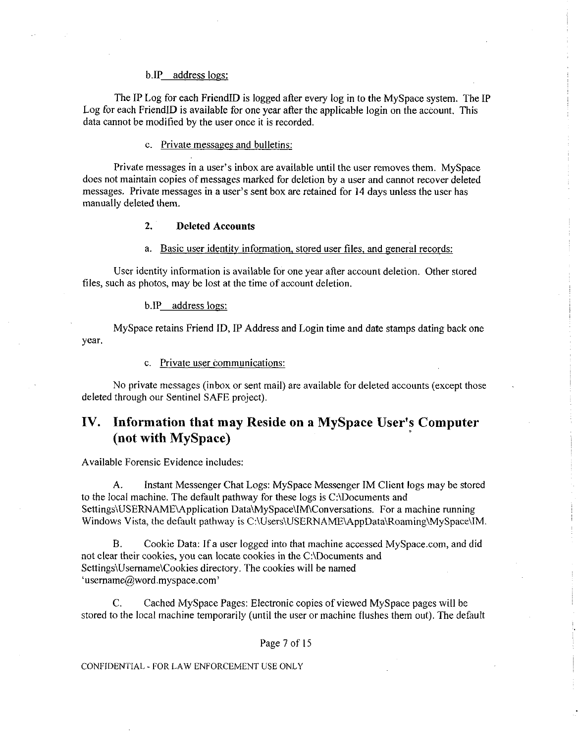### b.IP address logs:

The IP Log for each FriendID is logged after every log in to the MySpace system. The IP Log for each FriendID is available for one year after the applicable login on the account. This data cannot be modified by the user once it is recorded.

## c. Private messages and bulletins:

Private messages in a user's inbox are available until the user removes them. MySpace does not maintain copies of messages marked for deletion by a user and cannot recover deleted messages. Private messages in a user's sent box are retained for 14 days unless the user has manually deleted them.

### **2. Deleted Accounts**

### a. Basic user identity information, stored user files, and general records:

User identity information is available for one year after account deletion. Other stored files, such as photos, may be lost at the time of account deletion.

#### b.IP address logs:

MySpace retains Friend ID, IP Address and Login time and date stamps dating back one year.

c. Private user communications:

No private messages (inbox or sent mail) are available for deleted accounts (except those deleted through our Sentinel SAFE project).

## <span id="page-6-0"></span>**IV. Information that may Reside on a MySpace User's Computer (not with MySpace)**

Available Forensic Evidence includes:

A. Instant Messenger Chat Logs: MySpace Messenger IM Client logs may be stored to the local machine. The default pathway for these logs is C:\Documents and Settings\USERNAME\Application Data\MySpace\IM\Conversations. For a machine running Windows Vista, the default pathway is C:\Users\USERNAME\AppData\Roaming\MySpace\IM.

B. Cookie Data: If a user logged into that machine accessed MySpace.com, and did not clear their cookies, you can locate cookies in the C:\Documents and Settings\Username\Cookies directory. The cookies will be named 'username@word.myspace.com'

C. Cached MySpace Pages: Electronic copies of viewed MySpace pages will be stored to the local machine temporarily (until the user or machine flushes them out). The default

#### Page 7 of 15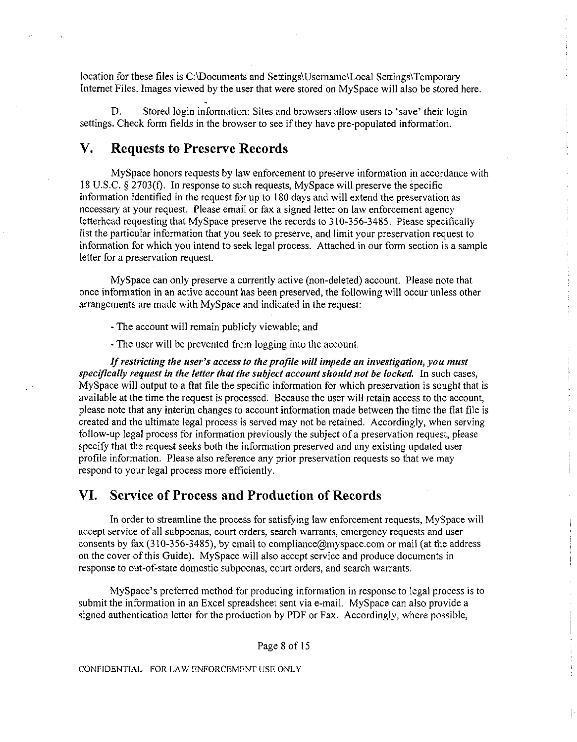location for these files is C:\Documents and Settings\Username\LocaI Settings\Temporary Internet Files. Images viewed by the user that were stored on MySpace will also be stored here.

D. Stored login information: Sites and browsers allow users to 'save' their login settings. Check form fields in the browser to see if they have pre-populated information.

## <span id="page-7-0"></span>**V. Requests to Preserve Records**

MySpace honors requests by law enforcement to preserve information in accordance with 18 U.S.C. § 2703(f). In response to such requests, MySpace will preserve the specific information identified in the request for up to 180 days and will extend the preservation as necessary at your request. Please email or fax a signed letter on law enforcement agency letterhead requesting that MySpace preserve the records to 310-356-3485. Please specifically list the particular information that you seek to preserve, and limit your preservation request to information for which you intend to seek legal process. Attached in our form section is a sample letter for a preservation request.

MySpace can only preserve a currently active (non-deleted) account. Please note that once information in an active account has been preserved, the following will occur unless other arrangements are made with MySpace and indicated in the request:

- The account will remain publicly viewable; and

- The user will be prevented from logging into the account.

*If restricting the user's access to the profile will impede an investigation, you must specifically request in the letter that the subject account should not be locked.* In such cases, MySpace will output to a flat file the specific information for which preservation is sought that is available at the time the request is processed. Because the user will retain access to the account, please note that any interim changes to account information made between the time the flat file is created and the ultimate legal process is served may not be retained. Accordingly, when serving follow-up legal process for information previously the subject of a preservation request, please specify that the request seeks both the information preserved and any existing updated user profile information. Please also reference any prior preservation requests so that we may respond to your legal process more efficiently.

## <span id="page-7-1"></span>**VI. Service of Process and Production of Records**

In order to streamline the process for satisfying law enforcement requests, MySpace will accept service of all subpoenas, court orders, search warrants, emergency requests and user consents by fax (310-356-3485), by email to [compliance@myspace.com o](mailto:compliance@myspace.com)r mail (at the address on the cover of this Guide). MySpace will also accept service and produce documents in response to out-of-state domestic subpoenas, court orders, and search warrants.

MySpace's preferred method for producing information in response to legal process is to submit the information in an Excel spreadsheet sent via e-mail. MySpace can also provide a signed authentication letter for the production by PDF or Fax. Accordingly, where possible,

Page 8 of 15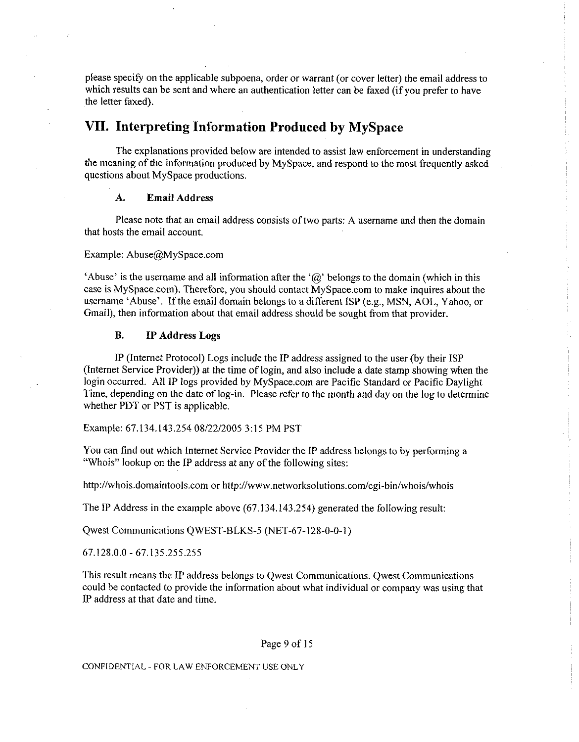please specify on the applicable subpoena, order or warrant (or cover letter) the email address to which results can be sent and where an authentication letter can be faxed (if you prefer to have the letter faxed).

## <span id="page-8-0"></span>**VII. Interpreting Information Produced by MySpace**

The explanations provided below are intended to assist law enforcement in understanding the meaning of the information produced by MySpace, and respond to the most frequently asked questions about MySpace productions.

### **A. Email Address**

Please note that an email address consists of two parts: A username and then the domain that hosts the email account.

#### Example: [Abuse@MySpace.com](mailto:Abuse@MySpace.com)

'Abuse' is the username and all information after the ' $\omega$ ' belongs to the domain (which in this case is MySpace.com). Therefore, you should contact MySpace.com to make inquires about the username 'Abuse'. If the email domain belongs to a different ISP (e.g., MSN, AOL, Yahoo, or Gmail), then information about that email address should be sought from that provider.

## **B. IP Address Logs**

IP (Internet Protocol) Logs include the IP address assigned to the user (by their ISP (Internet Service Provider)) at the time of login, and also include a date stamp showing when the login occurred. All IP logs provided by MySpace.com are Pacific Standard or Pacific Daylight Time, depending on the date of log-in. Please refer to the month and day on the log to determine whether PDT or PST is applicable.

Example: 67.134.143.254 08/22/2005 3:15 PM PST

You can find out which Internet Service Provider the IP address belongs to by performing a "Whois" lookup on the IP address at any of the following sites:

<http://whois.domaintools.com>or <http://www.networksolutions.com/cgi-bin/whois/whois>

The IP Address in the example above (67.134.143.254) generated the following result:

Qwest Communications QWEST-BLKS-5 (NET-67-128-0-0-1)

67.128.0.0 -67.135.255.255

This result means the IP address belongs to Qwest Communications. Qwest Communications could be contacted to provide the information about what individual or company was using that IP address at that date and time.

### Page 9 of 15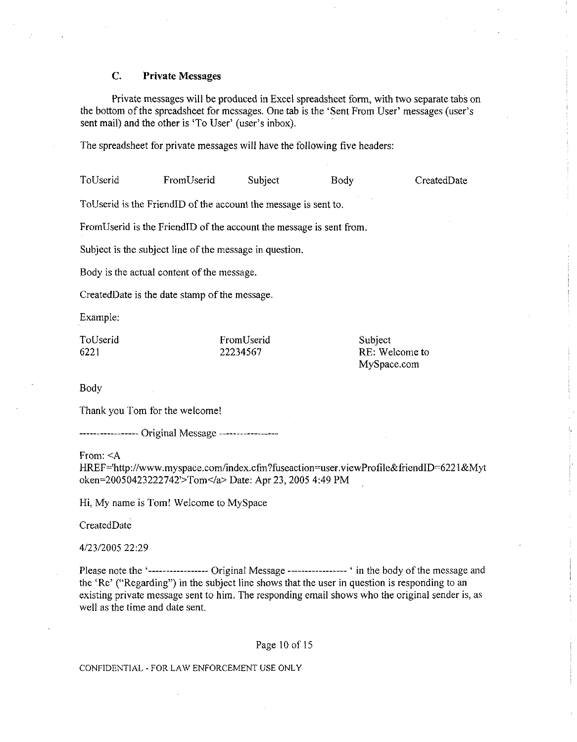### **C. Private Messages**

Private messages will be produced in Excel spreadsheet form, with two separate tabs on the bottom of the spreadsheet for messages. One tab is the 'Sent From User' messages (user's sent mail) and the other is 'To User' (user's inbox).

The spreadsheet for private messages will have the following five headers:

ToUserid FromUserid Subject Body CreatedDate

ToUserid is the FriendID of the account the message is sent to.

FromUserid is the FriendID of the account the message is sent from.

Subject is the subject line of the message in question.

Body is the actual content of the message.

CreatedDate is the date stamp of the message.

Example:

| ToUserid | FromUserid | Subject        |
|----------|------------|----------------|
| 6221     | 22234567   | RE: Welcome to |
|          |            | MySpace.com    |

Body

Thank you Tom for the welcome!

----------------- Original Message -----------------

From: <A

HREF='<http://www.myspace.com/index.cfm?fuseaction=user.viewProfile&friendID=6221&Myt> oken=20050423222742'>Tom</a> Date: Apr 23, 2005 4:49 PM

Hi, My name is Tom! Welcome to MySpace

CreatedDate

4/23/2005 22:29

Please note the '---------------- Original Message ---------------- ' in the body of the message and the 'Re' ("Regarding") in the subject line shows that the user in question is responding to an existing private message sent to him. The responding email shows who the original sender is, as well as the time and date sent.

#### Page 10 of 15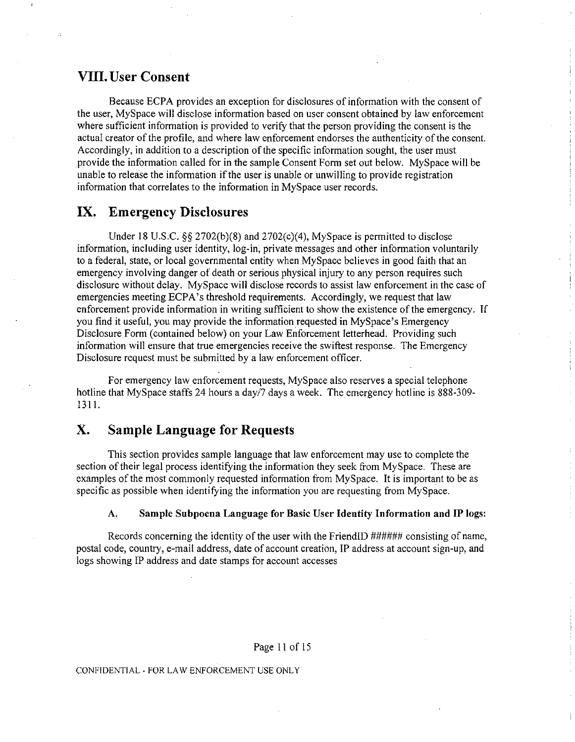## <span id="page-10-0"></span>**Vili. User Consent**

Because ECPA provides an exception for disclosures of information with the consent of the user, MySpace will disclose information based on user consent obtained by law enforcement where sufficient information is provided to verify that the person providing the consent is the actual creator of the profile, and where law enforcement endorses the authenticity of the consent. Accordingly, in addition to a description of the specific information sought, the user must provide the information called for in the sample Consent Form set out below. MySpace will be unable to release the information if the user is unable or unwilling to provide registration information that correlates to the information in MySpace user records.

## <span id="page-10-1"></span>**IX. Emergency Disclosures**

Under 18 U.S.C. §§ 2702(b)(8) and 2702(c)(4), MySpace is permitted to disclose information, including user identity, log-in, private messages and other information voluntarily to a federal, state, or local governmental entity when MySpace believes in good faith that an emergency involving danger of death or serious physical injury to any person requires such disclosure without delay. MySpace will disclose records to assist law enforcement in the case of emergencies meeting ECPA's threshold requirements. Accordingly, we request that law enforcement provide information in writing sufficient to show the existence of the emergency. If you find it useful, you may provide the information requested in MySpace's Emergency Disclosure Form (contained below) on your Law Enforcement letterhead. Providing such information will ensure that true emergencies receive the swiftest response. The Emergency Disclosure request must be submitted by a law enforcement officer.

For emergency law enforcement requests, MySpace also reserves a special telephone hotline that MySpace staffs 24 hours a day/7 days a week. The emergency hotline is 888-309-1311.

## <span id="page-10-2"></span>**X. Sample Language for Requests**

This section provides sample language that law enforcement may use to complete the section of their legal process identifying the information they seek from MySpace. These are examples of the most commonly requested information from MySpace. It is important to be as specific as possible when identifying the information you are requesting from MySpace.

### **A. Sample Subpoena Language for Basic User Identity Information and IP logs:**

Records concerning the identity of the user with the FriendID ###### consisting of name, postal code, country, e-mail address, date of account creation, IP address at account sign-up, and logs showing IP address and date stamps for account accesses

#### Page 11 of 15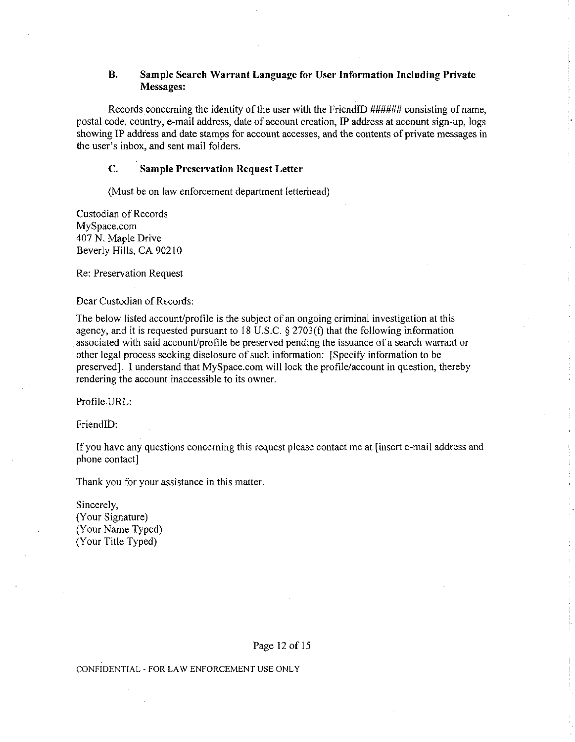## **B. Sample Search Warrant Language for User Information Including Private Messages:**

Records concerning the identity of the user with the FriendID ###### consisting of name, postal code, country, e-mail address, date of account creation, IP address at account sign-up, logs showing IP address and date stamps for account accesses, and the contents of private messages in the user's inbox, and sent mail folders.

## **C. Sample Preservation Request Letter**

(Must be on law enforcement department letterhead)

Custodian of Records MySpace.com 407 N. Maple Drive Beverly Hills, CA 90210

Re: Preservation Request

Dear Custodian of Records:

The below listed account/profile is the subject of an ongoing criminal investigation at this agency, and it is requested pursuant to 18 U.S.C. § 2703(f) that the following information associated with said account/profile be preserved pending the issuance of a search warrant or other legal process seeking disclosure of such information: [Specify information to be preserved]. I understand that MySpace.com will lock the profile/account in question, thereby rendering the account inaccessible to its owner.

Profile URL:

FriendID:

If you have any questions concerning this request please contact me at [insert e-mail address and phone contact]

Thank you for your assistance in this matter.

Sincerely, (Your Signature) (Your Name Typed) (Your Title Typed)

Page 12 of 15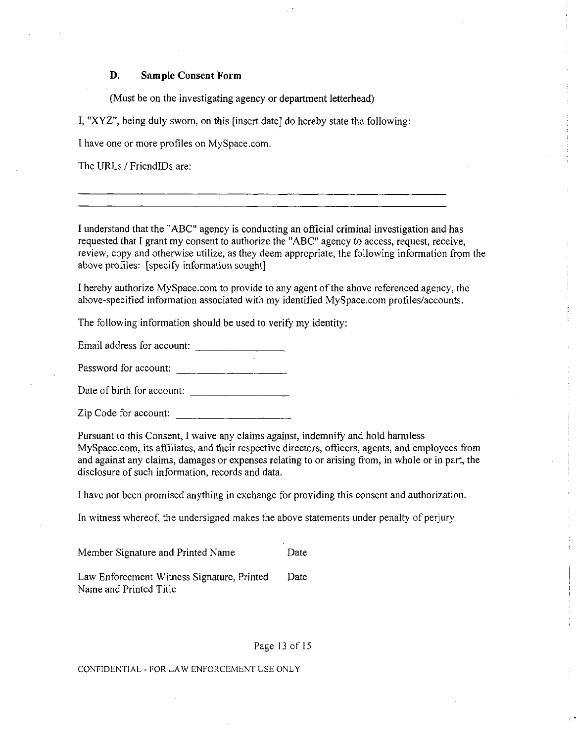## **D. Sample Consent Form**

(Must be on the investigating agency or department letterhead)

I, "XYZ", being duly sworn, on this [insert date] do hereby state the following:

I have one or more profiles on MySpace.com.

The URLs / FriendlDs are:

I understand that the "ABC" agency is conducting an official criminal investigation and has requested that I grant my consent to authorize the "ABC" agency to access, request, receive, review, copy and otherwise utilize, as they deem appropriate, the following information from the above profiles: [specify information sought]

I hereby authorize MySpace.com to provide to any agent of the above referenced agency, the above-specified information associated with my identified MySpace.com profiles/accounts.

The following information should be used to verify my identity:

Email address for account:

Password for account:

Date of birth for account:

Zip Code for account:

Pursuant to this Consent, I waive any claims against, indemnify and hold harmless MySpace.com, its affiliates, and their respective directors, officers, agents, and employees from and against any claims, damages or expenses relating to or arising from, in whole or in part, the disclosure of such information, records and data.

I have not been promised anything in exchange for providing this consent and authorization.

In witness whereof, the undersigned makes the above statements under penalty of perjury.

| Member Signature and Printed Name                                    |      |  |
|----------------------------------------------------------------------|------|--|
| Law Enforcement Witness Signature, Printed<br>Name and Printed Title | Date |  |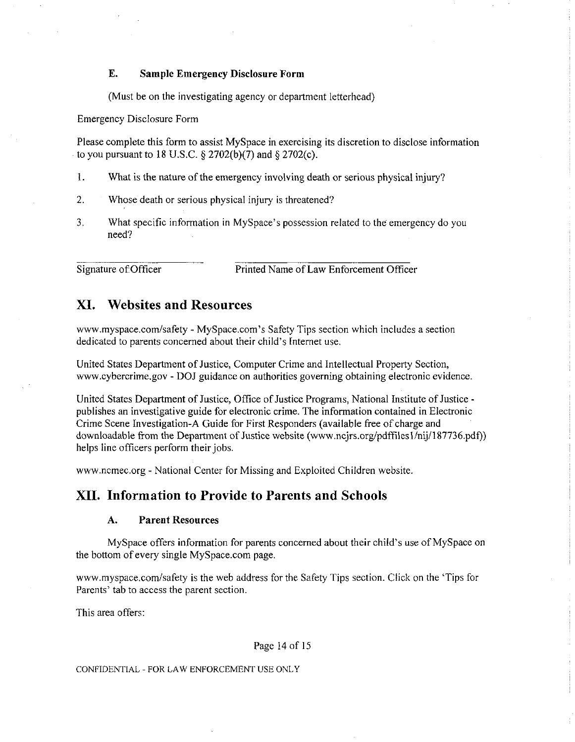## **E. Sample Emergency Disclosure Form**

(Must be on the investigating agency or department letterhead)

Emergency Disclosure Form

Please complete this form to assist MySpace in exercising its discretion to disclose information to you pursuant to 18 U.S.C.  $\S 2702(b)(7)$  and  $\S 2702(c)$ .

- 1. What is the nature of the emergency involving death or serious physical injury?
- 2. Whose death or serious physical injury is threatened?
- 3. What specific information in MySpace's possession related to the emergency do you need?

Signature of Officer Printed Name of Law Enforcement Officer

## <span id="page-13-0"></span>**XI. Websites and Resources**

[www.myspace.com/safety -](http://www.myspace.com/safety) MySpace.com's Safety Tips section which includes a section dedicated to parents concerned about their child's Internet use.

United States Department of Justice, Computer Crime and Intellectual Property Section, [www.cybercrime.gov](http://www.cybercrime.gov) - DOJ guidance on authorities governing obtaining electronic evidence.

United States Department of Justice, Office of Justice Programs, National Institute of Justice publishes an investigative guide for electronic crime. The information contained in Electronic Crime Scene Investigation-A Guide for First Responders (available free of charge and downloadable from the Department of Justice website ([www.ncjrs.org/pdffilesl/nij/187736.pdf\)](http://www.ncjrs.org/pdffilesl/nij/187736.pdf)) helps line officers perform their jobs.

[www.ncmec.org -](http://www.ncmec.org) National Center for Missing and Exploited Children website.

## <span id="page-13-1"></span>**XII. Information to Provide to Parents and Schools**

## **A. Parent Resources**

MySpace offers information for parents concerned about their child's use of MySpace on the bottom of every single MySpace.com page.

[www.myspace.com/safety](http://www.myspace.com/safety) is the web address for the Safety Tips section. Click on the 'Tips for Parents' tab to access the parent section.

This area offers:

Page 14 of 15